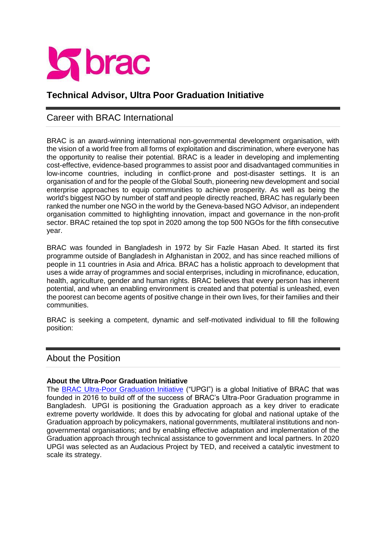

# **Technical Advisor, Ultra Poor Graduation Initiative**

## Career with BRAC International

BRAC is an award-winning international non-governmental development organisation, with the vision of a world free from all forms of exploitation and discrimination, where everyone has the opportunity to realise their potential. BRAC is a leader in developing and implementing cost-effective, evidence-based programmes to assist poor and disadvantaged communities in low-income countries, including in conflict-prone and post-disaster settings. It is an organisation of and for the people of the Global South, pioneering new development and social enterprise approaches to equip communities to achieve prosperity. As well as being the world's biggest NGO by number of staff and people directly reached, BRAC has regularly been ranked the number one NGO in the world by the Geneva-based NGO Advisor, an independent organisation committed to highlighting innovation, impact and governance in the non-profit sector. BRAC retained the top spot in 2020 among the top 500 NGOs for the fifth consecutive year.

BRAC was founded in Bangladesh in 1972 by Sir Fazle Hasan Abed. It started its first programme outside of Bangladesh in Afghanistan in 2002, and has since reached millions of people in 11 countries in Asia and Africa. BRAC has a holistic approach to development that uses a wide array of programmes and social enterprises, including in microfinance, education, health, agriculture, gender and human rights. BRAC believes that every person has inherent potential, and when an enabling environment is created and that potential is unleashed, even the poorest can become agents of positive change in their own lives, for their families and their communities.

BRAC is seeking a competent, dynamic and self-motivated individual to fill the following position:

## About the Position

#### **About the Ultra-Poor Graduation Initiative**

The **BRAC Ultra-Poor Graduation Initiative** ("UPGI") is a global Initiative of BRAC that was founded in 2016 to build off of the success of BRAC's Ultra-Poor Graduation programme in Bangladesh. UPGI is positioning the Graduation approach as a key driver to eradicate extreme poverty worldwide. It does this by advocating for global and national uptake of the Graduation approach by policymakers, national governments, multilateral institutions and nongovernmental organisations; and by enabling effective adaptation and implementation of the Graduation approach through technical assistance to government and local partners. In 2020 UPGI was selected as an Audacious Project by TED, and received a catalytic investment to scale its strategy.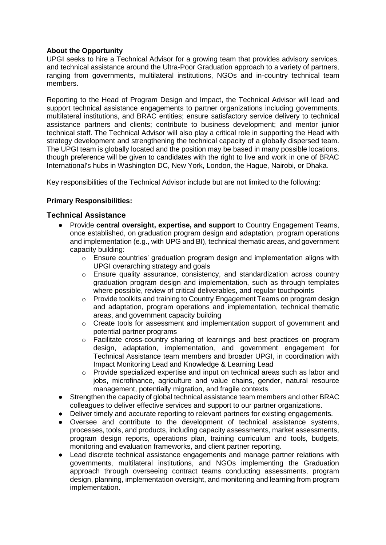#### **About the Opportunity**

UPGI seeks to hire a Technical Advisor for a growing team that provides advisory services, and technical assistance around the Ultra-Poor Graduation approach to a variety of partners, ranging from governments, multilateral institutions, NGOs and in-country technical team members.

Reporting to the Head of Program Design and Impact, the Technical Advisor will lead and support technical assistance engagements to partner organizations including governments, multilateral institutions, and BRAC entities; ensure satisfactory service delivery to technical assistance partners and clients; contribute to business development; and mentor junior technical staff. The Technical Advisor will also play a critical role in supporting the Head with strategy development and strengthening the technical capacity of a globally dispersed team. The UPGI team is globally located and the position may be based in many possible locations, though preference will be given to candidates with the right to live and work in one of BRAC International's hubs in Washington DC, New York, London, the Hague, Nairobi, or Dhaka.

Key responsibilities of the Technical Advisor include but are not limited to the following:

#### **Primary Responsibilities:**

#### **Technical Assistance**

- Provide **central oversight, expertise, and support** to Country Engagement Teams, once established, on graduation program design and adaptation, program operations and implementation (e.g., with UPG and BI), technical thematic areas, and government capacity building:
	- $\circ$  Ensure countries' graduation program design and implementation aligns with UPGI overarching strategy and goals
	- $\circ$  Ensure quality assurance, consistency, and standardization across country graduation program design and implementation, such as through templates where possible, review of critical deliverables, and regular touchpoints
	- o Provide toolkits and training to Country Engagement Teams on program design and adaptation, program operations and implementation, technical thematic areas, and government capacity building
	- o Create tools for assessment and implementation support of government and potential partner programs
	- $\circ$  Facilitate cross-country sharing of learnings and best practices on program design, adaptation, implementation, and government engagement for Technical Assistance team members and broader UPGI, in coordination with Impact Monitoring Lead and Knowledge & Learning Lead
	- o Provide specialized expertise and input on technical areas such as labor and jobs, microfinance, agriculture and value chains, gender, natural resource management, potentially migration, and fragile contexts
- Strengthen the capacity of global technical assistance team members and other BRAC colleagues to deliver effective services and support to our partner organizations.
- Deliver timely and accurate reporting to relevant partners for existing engagements.
- Oversee and contribute to the development of technical assistance systems, processes, tools, and products, including capacity assessments, market assessments, program design reports, operations plan, training curriculum and tools, budgets, monitoring and evaluation frameworks, and client partner reporting.
- Lead discrete technical assistance engagements and manage partner relations with governments, multilateral institutions, and NGOs implementing the Graduation approach through overseeing contract teams conducting assessments, program design, planning, implementation oversight, and monitoring and learning from program implementation.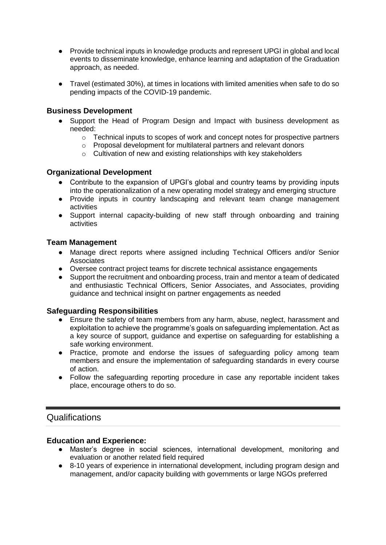- Provide technical inputs in knowledge products and represent UPGI in global and local events to disseminate knowledge, enhance learning and adaptation of the Graduation approach, as needed.
- Travel (estimated 30%), at times in locations with limited amenities when safe to do so pending impacts of the COVID-19 pandemic.

### **Business Development**

- Support the Head of Program Design and Impact with business development as needed:
	- o Technical inputs to scopes of work and concept notes for prospective partners
	- o Proposal development for multilateral partners and relevant donors
	- $\circ$  Cultivation of new and existing relationships with key stakeholders

#### **Organizational Development**

- Contribute to the expansion of UPGI's global and country teams by providing inputs into the operationalization of a new operating model strategy and emerging structure
- Provide inputs in country landscaping and relevant team change management activities
- Support internal capacity-building of new staff through onboarding and training activities

#### **Team Management**

- Manage direct reports where assigned including Technical Officers and/or Senior **Associates**
- Oversee contract project teams for discrete technical assistance engagements
- Support the recruitment and onboarding process, train and mentor a team of dedicated and enthusiastic Technical Officers, Senior Associates, and Associates, providing guidance and technical insight on partner engagements as needed

#### **Safeguarding Responsibilities**

- Ensure the safety of team members from any harm, abuse, neglect, harassment and exploitation to achieve the programme's goals on safeguarding implementation. Act as a key source of support, guidance and expertise on safeguarding for establishing a safe working environment.
- Practice, promote and endorse the issues of safeguarding policy among team members and ensure the implementation of safeguarding standards in every course of action.
- Follow the safeguarding reporting procedure in case any reportable incident takes place, encourage others to do so.

## Qualifications

#### **Education and Experience:**

- Master's degree in social sciences, international development, monitoring and evaluation or another related field required
- 8-10 years of experience in international development, including program design and management, and/or capacity building with governments or large NGOs preferred